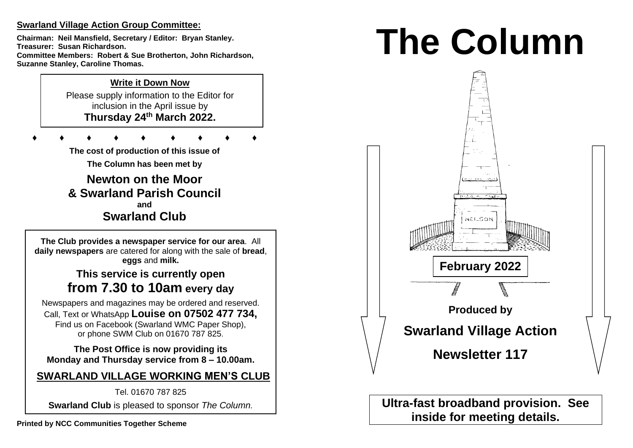# **Swarland Village Action Group Committee:**

**Chairman: Neil Mansfield, Secretary / Editor: Bryan Stanley. Treasurer: Susan Richardson. Committee Members: Robert & Sue Brotherton, John Richardson, Suzanne Stanley, Caroline Thomas.** 

# **Write it Down Now**

Please supply information to the Editor for inclusion in the April issue by **Thursday 24 th March 2022.** 

**♦ ♦ ♦ ♦ ♦ ♦ ♦ ♦ ♦**

**The cost of production of this issue of** 

**The Column has been met by**

**Newton on the Moor & Swarland Parish Council and Swarland Club**

**The Club provides a newspaper service for our area**. All **daily newspapers** are catered for along with the sale of **bread**, **eggs** and **milk.**

# **This service is currently open from 7.30 to 10am every day**

Newspapers and magazines may be ordered and reserved. Call, Text or WhatsApp **Louise on 07502 477 734,**  Find us on Facebook (Swarland WMC Paper Shop), or phone SWM Club on 01670 787 825.

**The Post Office is now providing its Monday and Thursday service from 8 – 10.00am.** 

# **SWARLAND VILLAGE WORKING MEN'S CLUB**

Tel. 01670 787 825

**Swarland Club** is pleased to sponsor *The Column.*

# **The Column**



**Ultra-fast broadband provision. See inside for meeting details.**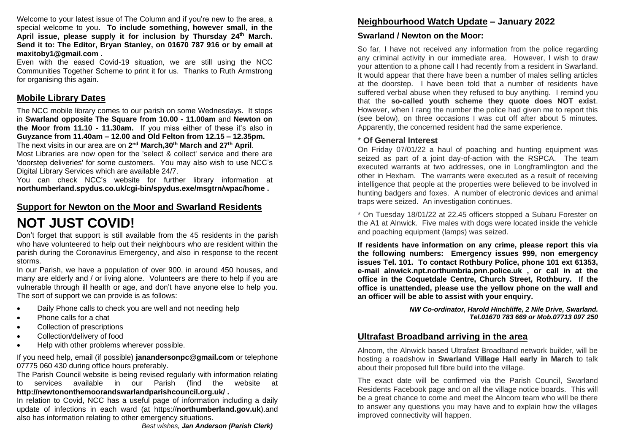Welcome to your latest issue of The Column and if you're new to the area, a special welcome to you**. To include something, however small, in the April issue, please supply it for inclusion by Thursday 24 th March. Send it to: The Editor, Bryan Stanley, on 01670 787 916 or by email at [maxitoby1@gmail.com](mailto:maxitoby1@gmail.com) .**

Even with the eased Covid-19 situation, we are still using the NCC Communities Together Scheme to print it for us. Thanks to Ruth Armstrong for organising this again.

#### **Mobile Library Dates**

The NCC mobile library comes to our parish on some Wednesdays. It stops in **Swarland opposite The Square from 10.00 - 11.00am** and **Newton on the Moor from 11.10 - 11.30am.** If you miss either of these it's also in **Guyzance from 11.40am – 12.00 and Old Felton from 12.15 – 12.35pm.**  The next visits in our area are on **2 nd March,30th March and 27th April**.

Most Libraries are now open for the 'select & collect' service and there are 'doorstep deliveries' for some customers. You may also wish to use NCC's Digital Library Services which are available 24/7.

You can check NCC's website for further library information at **[northumberland.spydus.co.uk/cgi-bin/spydus.exe/msgtrn/wpac/home](https://northumberland.spydus.co.uk/cgi-bin/spydus.exe/MSGTRN/WPAC/HOME) .**

#### **Support for Newton on the Moor and Swarland Residents**

# **NOT JUST COVID!**

Don't forget that support is still available from the 45 residents in the parish who have volunteered to help out their neighbours who are resident within the parish during the Coronavirus Emergency, and also in response to the recent storms.

In our Parish, we have a population of over 900, in around 450 houses, and many are elderly and / or living alone. Volunteers are there to help if you are vulnerable through ill health or age, and don't have anyone else to help you. The sort of support we can provide is as follows:

- Daily Phone calls to check you are well and not needing help
- Phone calls for a chat
- Collection of prescriptions
- Collection/delivery of food
- Help with other problems wherever possible.

If you need help, email (if possible) **[janandersonpc@gmail.com](mailto:janandersonpc@gmail.com)** or telephone 07775 060 430 during office hours preferably.

The Parish Council website is being revised regularly with information relating to services available in our Parish (find the website at **<http://newtononthemoorandswarlandparishcouncil.org.uk/> .**

In relation to Covid, NCC has a useful page of information including a daily update of infections in each ward (at https://**[northumberland.gov.uk](https://www.northumberland.gov.uk/Home.aspx)**).and also has information relating to other emergency situations.

## **Neighbourhood Watch Update – January 2022**

#### **Swarland / Newton on the Moor:**

So far, I have not received any information from the police regarding any criminal activity in our immediate area. However, I wish to draw your attention to a phone call I had recently from a resident in Swarland. It would appear that there have been a number of males selling articles at the doorstep. I have been told that a number of residents have suffered verbal abuse when they refused to buy anything. I remind you that the **so-called youth scheme they quote does NOT exist**. However, when I rang the number the police had given me to report this (see below), on three occasions I was cut off after about 5 minutes. Apparently, the concerned resident had the same experience.

#### \* **Of General Interest**

On Friday 07/01/22 a haul of poaching and hunting equipment was seized as part of a joint day-of-action with the RSPCA. The team executed warrants at two addresses, one in Longframlington and the other in Hexham. The warrants were executed as a result of receiving intelligence that people at the properties were believed to be involved in hunting badgers and foxes. A number of electronic devices and animal traps were seized. An investigation continues.

\* On Tuesday 18/01/22 at 22.45 officers stopped a Subaru Forester on the A1 at Alnwick. Five males with dogs were located inside the vehicle and poaching equipment (lamps) was seized.

**If residents have information on any crime, please report this via the following numbers: Emergency issues 999, non emergency issues Tel. 101. To contact Rothbury Police, phone 101 ext 61353, e-mail [alnwick.npt.northumbria.pnn.police.uk](http://alnwick.npt.northumbria.pnn.police.uk/) , or call in at the office in the Coquetdale Centre, Church Street, Rothbury. If the office is unattended, please use the yellow phone on the wall and an officer will be able to assist with your enquiry.** 

> *NW Co-ordinator, Harold Hinchliffe, 2 Nile Drive, Swarland. Tel.01670 783 669 or Mob.07713 097 250*

# **Ultrafast Broadband arriving in the area**

Alncom, the Alnwick based Ultrafast Broadband network builder, will be hosting a roadshow in **Swarland Village Hall early in March** to talk about their proposed full fibre build into the village.

The exact date will be confirmed via the Parish Council, Swarland Residents Facebook page and on all the village notice boards. This will be a great chance to come and meet the Alncom team who will be there to answer any questions you may have and to explain how the villages improved connectivity will happen.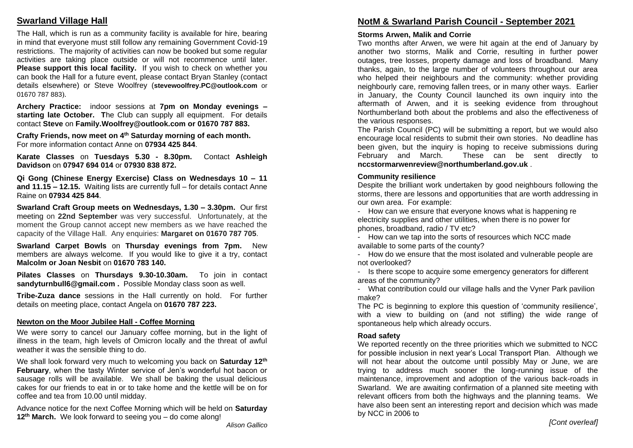# **Swarland Village Hall**

The Hall, which is run as a community facility is available for hire, bearing in mind that everyone must still follow any remaining Government Covid-19 restrictions. The majority of activities can now be booked but some regular activities are taking place outside or will not recommence until later. **Please support this local facility.** If you wish to check on whether you can book the Hall for a future event, please contact Bryan Stanley (contact details elsewhere) or Steve Woolfrey (**[stevewoolfrey.PC@outlook.com](mailto:stevewoolfrey.PC@outlook.com)** or 01670 787 883).

**Archery Practice:** indoor sessions at **7pm on Monday evenings – starting late October. T**he Club can supply all equipment. For details contact **Steve** on **[Family.Woolfrey@outlook.com](mailto:Family.Woolfrey@outlook.com) or 01670 787 883.** 

**Crafty Friends, now meet on 4th Saturday morning of each month.** For more information contact Anne on **07934 425 844**.

**Karate Classes** on **Tuesdays 5.30 - 8.30pm.** Contact **Ashleigh Davidson** on **07947 694 014** or **07930 838 872.** 

**Qi Gong (Chinese Energy Exercise) Class on Wednesdays 10 – 11 and 11.15 – 12.15.** Waiting lists are currently full – for details contact Anne Raine on **07934 425 844**.

**Swarland Craft Group meets on Wednesdays, 1.30 – 3.30pm.** Our first meeting on **22nd September** was very successful. Unfortunately, at the moment the Group cannot accept new members as we have reached the capacity of the Village Hall. Any enquiries: **Margaret on 01670 787 705**.

**Swarland Carpet Bowls** on **Thursday evenings from 7pm.** New members are always welcome. If you would like to give it a try, contact **Malcolm or Joan Nesbit** on **01670 783 140.** 

**Pilates Classes** on **Thursdays 9.30-10.30am.** To join in contact **[sandyturnbull6@gmail.com](mailto:sandyturnbull6@gmail.com) .** Possible Monday class soon as well.

**Tribe-Zuza dance** sessions in the Hall currently on hold. For further details on meeting place, contact Angela on **01670 787 223.** 

#### **Newton on the Moor Jubilee Hall - Coffee Morning**

We were sorry to cancel our January coffee morning, but in the light of illness in the team, high levels of Omicron locally and the threat of awful weather it was the sensible thing to do.

We shall look forward very much to welcoming you back on **Saturday 12th February**, when the tasty Winter service of Jen's wonderful hot bacon or sausage rolls will be available. We shall be baking the usual delicious cakes for our friends to eat in or to take home and the kettle will be on for coffee and tea from 10.00 until midday.

Advance notice for the next Coffee Morning which will be held on **Saturday 12th March.** We look forward to seeing you – do come along!

# **NotM & Swarland Parish Council - September 2021**

#### **Storms Arwen, Malik and Corrie**

Two months after Arwen, we were hit again at the end of January by another two storms, Malik and Corrie, resulting in further power outages, tree losses, property damage and loss of broadband. Many thanks, again, to the large number of volunteers throughout our area who helped their neighbours and the community: whether providing neighbourly care, removing fallen trees, or in many other ways. Earlier in January, the County Council launched its own inquiry into the aftermath of Arwen, and it is seeking evidence from throughout Northumberland both about the problems and also the effectiveness of the various responses.

The Parish Council (PC) will be submitting a report, but we would also encourage local residents to submit their own stories. No deadline has been given, but the inquiry is hoping to receive submissions during February and March. These can be sent directly to **[nccstormarwenreview@northumberland.gov.uk](mailto:nccstormarwenreview@northumberland.gov.uk)** .

#### **Community resilience**

Despite the brilliant work undertaken by good neighbours following the storms, there are lessons and opportunities that are worth addressing in our own area. For example:

- How can we ensure that everyone knows what is happening re electricity supplies and other utilities, when there is no power for phones, broadband, radio / TV etc?

- How can we tap into the sorts of resources which NCC made available to some parts of the county?

- How do we ensure that the most isolated and vulnerable people are not overlooked?

- Is there scope to acquire some emergency generators for different areas of the community?

- What contribution could our village halls and the Vyner Park pavilion make?

The PC is beginning to explore this question of 'community resilience', with a view to building on (and not stifling) the wide range of spontaneous help which already occurs.

#### **Road safety**

We reported recently on the three priorities which we submitted to NCC for possible inclusion in next year's Local Transport Plan. Although we will not hear about the outcome until possibly May or June, we are trying to address much sooner the long-running issue of the maintenance, improvement and adoption of the various back-roads in Swarland. We are awaiting confirmation of a planned site meeting with relevant officers from both the highways and the planning teams. We have also been sent an interesting report and decision which was made by NCC in 2006 to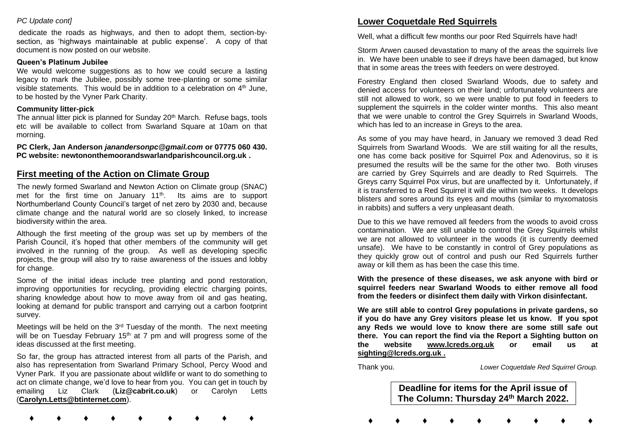#### *PC Update cont]*

dedicate the roads as highways, and then to adopt them, section-bysection, as 'highways maintainable at public expense'. A copy of that document is now posted on our website.

#### **Queen's Platinum Jubilee**

We would welcome suggestions as to how we could secure a lasting legacy to mark the Jubilee, possibly some tree-planting or some similar visible statements. This would be in addition to a celebration on  $4<sup>th</sup>$  June, to be hosted by the Vyner Park Charity.

#### **Community litter-pick**

The annual litter pick is planned for Sunday  $20<sup>th</sup>$  March. Refuse bags, tools etc will be available to collect from Swarland Square at 10am on that morning.

**PC Clerk, Jan Anderson** *[janandersonpc@gmail.com](mailto:janandersonpc@gmail.com)* **or 07775 060 430. PC website: newtononthemoorandswarlandparishcouncil.org.uk .** 

#### **First meeting of the Action on Climate Group**

The newly formed Swarland and Newton Action on Climate group (SNAC) met for the first time on January 11<sup>th</sup>. Its aims are to support Northumberland County Council's target of net zero by 2030 and, because climate change and the natural world are so closely linked, to increase biodiversity within the area.

Although the first meeting of the group was set up by members of the Parish Council, it's hoped that other members of the community will get involved in the running of the group. As well as developing specific projects, the group will also try to raise awareness of the issues and lobby for change.

Some of the initial ideas include tree planting and pond restoration, improving opportunities for recycling, providing electric charging points, sharing knowledge about how to move away from oil and gas heating, looking at demand for public transport and carrying out a carbon footprint survey.

Meetings will be held on the 3<sup>rd</sup> Tuesday of the month. The next meeting will be on Tuesday February 15<sup>th</sup> at 7 pm and will progress some of the ideas discussed at the first meeting.

So far, the group has attracted interest from all parts of the Parish, and also has representation from Swarland Primary School, Percy Wood and Vyner Park. If you are passionate about wildlife or want to do something to act on climate change, we'd love to hear from you. You can get in touch by emailing Liz Clark (**[Liz@cabrit.co.uk](mailto:Liz@cabrit.co.uk)**) or Carolyn Letts (**[Carolyn.Letts@btinternet.com](mailto:Carolyn.Letts@btinternet.com)**).

 **♦ ♦ ♦ ♦ ♦ ♦ ♦ ♦ ♦**

# **Lower Coquetdale Red Squirrels**

Well, what a difficult few months our poor Red Squirrels have had!

Storm Arwen caused devastation to many of the areas the squirrels live in. We have been unable to see if dreys have been damaged, but know that in some areas the trees with feeders on were destroyed.

Forestry England then closed Swarland Woods, due to safety and denied access for volunteers on their land; unfortunately volunteers are still not allowed to work, so we were unable to put food in feeders to supplement the squirrels in the colder winter months. This also meant that we were unable to control the Grey Squirrels in Swarland Woods, which has led to an increase in Greys to the area.

As some of you may have heard, in January we removed 3 dead Red Squirrels from Swarland Woods. We are still waiting for all the results, one has come back positive for Squirrel Pox and Adenovirus, so it is presumed the results will be the same for the other two. Both viruses are carried by Grey Squirrels and are deadly to Red Squirrels. The Greys carry Squirrel Pox virus, but are unaffected by it. Unfortunately, if it is transferred to a Red Squirrel it will die within two weeks. It develops blisters and sores around its eyes and mouths (similar to myxomatosis in rabbits) and suffers a very unpleasant death.

Due to this we have removed all feeders from the woods to avoid cross contamination. We are still unable to control the Grey Squirrels whilst we are not allowed to volunteer in the woods (it is currently deemed unsafe). We have to be constantly in control of Grey populations as they quickly grow out of control and push our Red Squirrels further away or kill them as has been the case this time.

**With the presence of these diseases, we ask anyone with bird or squirrel feeders near Swarland Woods to either remove all food from the feeders or disinfect them daily with Virkon disinfectant.** 

**We are still able to control Grey populations in private gardens, so if you do have any Grey visitors please let us know. If you spot any Reds we would love to know there are some still safe out there. You can report the find via the Report a Sighting button on the website [www.lcreds.org.uk](http://www.lcreds.org.uk/) or email us at [sighting@lcreds.org.uk](mailto:sighting@lcreds.org.uk) .** 

Thank you. *Lower Coquetdale Red Squirrel Group.*

**Deadline for items for the April issue of The Column: Thursday 24 th March 2022.**

 **♦ ♦ ♦ ♦ ♦ ♦ ♦ ♦ ♦**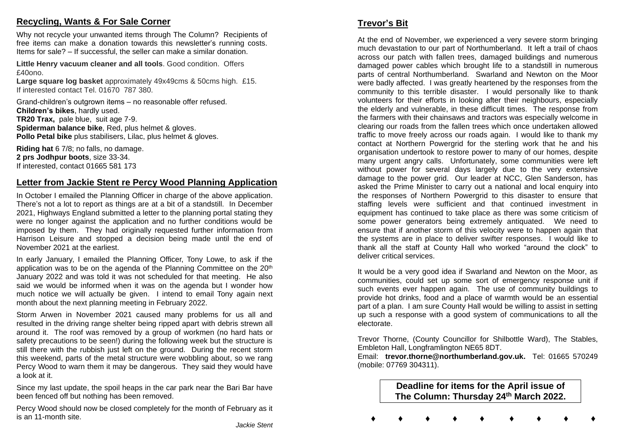# **Recycling, Wants & For Sale Corner**

Why not recycle your unwanted items through The Column? Recipients of free items can make a donation towards this newsletter's running costs. Items for sale? – If successful, the seller can make a similar donation.

**Little Henry vacuum cleaner and all tools**. Good condition. Offers  $f40000$ 

**Large square log basket** approximately 49x49cms & 50cms high. £15. If interested contact Tel. 01670 787 380.

Grand-children's outgrown items – no reasonable offer refused. **Children's bikes**, hardly used. **TR20 Trax,** pale blue, suit age 7-9. **Spiderman balance bike**, Red, plus helmet & gloves. **Pollo Petal bike** plus stabilisers, Lilac, plus helmet & gloves.

**Riding hat** 6 7/8; no falls, no damage. **2 prs Jodhpur boots**, size 33-34. If interested, contact 01665 581 173

# **Letter from Jackie Stent re Percy Wood Planning Application**

In October I emailed the Planning Officer in charge of the above application. There's not a lot to report as things are at a bit of a standstill. In December 2021, Highways England submitted a letter to the planning portal stating they were no longer against the application and no further conditions would be imposed by them. They had originally requested further information from Harrison Leisure and stopped a decision being made until the end of November 2021 at the earliest.

In early January, I emailed the Planning Officer, Tony Lowe, to ask if the application was to be on the agenda of the Planning Committee on the 20<sup>th</sup> January 2022 and was told it was not scheduled for that meeting. He also said we would be informed when it was on the agenda but I wonder how much notice we will actually be given. I intend to email Tony again next month about the next planning meeting in February 2022.

Storm Arwen in November 2021 caused many problems for us all and resulted in the driving range shelter being ripped apart with debris strewn all around it. The roof was removed by a group of workmen (no hard hats or safety precautions to be seen!) during the following week but the structure is still there with the rubbish just left on the ground. During the recent storm this weekend, parts of the metal structure were wobbling about, so we rang Percy Wood to warn them it may be dangerous. They said they would have a look at it.

Since my last update, the spoil heaps in the car park near the Bari Bar have been fenced off but nothing has been removed.

Percy Wood should now be closed completely for the month of February as it is an 11-month site.

At the end of November, we experienced a very severe storm bringing much devastation to our part of Northumberland. It left a trail of chaos across our patch with fallen trees, damaged buildings and numerous damaged power cables which brought life to a standstill in numerous parts of central Northumberland. Swarland and Newton on the Moor were badly affected. I was greatly heartened by the responses from the community to this terrible disaster. I would personally like to thank volunteers for their efforts in looking after their neighbours, especially the elderly and vulnerable, in these difficult times. The response from the farmers with their chainsaws and tractors was especially welcome in clearing our roads from the fallen trees which once undertaken allowed traffic to move freely across our roads again. I would like to thank my contact at Northern Powergrid for the sterling work that he and his organisation undertook to restore power to many of our homes, despite many urgent angry calls. Unfortunately, some communities were left without power for several days largely due to the very extensive damage to the power grid. Our leader at NCC, Glen Sanderson, has asked the Prime Minister to carry out a national and local enquiry into the responses of Northern Powergrid to this disaster to ensure that staffing levels were sufficient and that continued investment in equipment has continued to take place as there was some criticism of some power generators being extremely antiquated. We need to ensure that if another storm of this velocity were to happen again that the systems are in place to deliver swifter responses. I would like to thank all the staff at County Hall who worked "around the clock" to deliver critical services.

It would be a very good idea if Swarland and Newton on the Moor, as communities, could set up some sort of emergency response unit if such events ever happen again. The use of community buildings to provide hot drinks, food and a place of warmth would be an essential part of a plan. I am sure County Hall would be willing to assist in setting up such a response with a good system of communications to all the electorate.

Trevor Thorne, (County Councillor for Shilbottle Ward), The Stables, Embleton Hall, Longframlington NE65 8DT.

Email: **[trevor.thorne@northumberland.gov.uk.](mailto:trevor.thorne@northumberland.gov.uk)** Tel: 01665 570249 (mobile: 07769 304311).

> **Deadline for items for the April issue of The Column: Thursday 24 th March 2022.**

**♦ ♦ ♦ ♦ ♦ ♦ ♦ ♦ ♦**